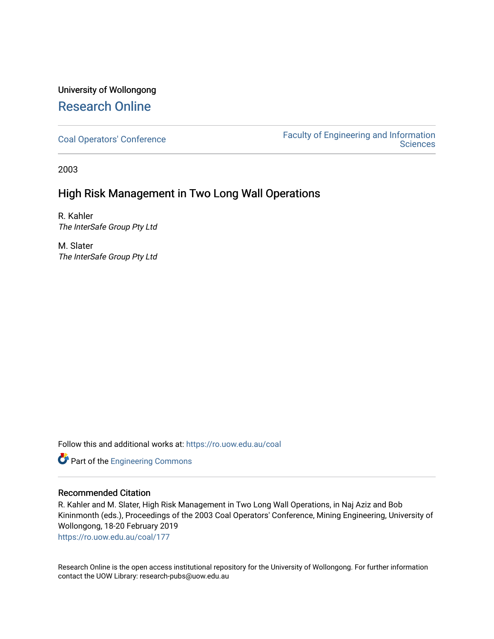# University of Wollongong [Research Online](https://ro.uow.edu.au/)

[Coal Operators' Conference](https://ro.uow.edu.au/coal) [Faculty of Engineering and Information](https://ro.uow.edu.au/eis)  **Sciences** 

2003

# High Risk Management in Two Long Wall Operations

R. Kahler The InterSafe Group Pty Ltd

M. Slater The InterSafe Group Pty Ltd

Follow this and additional works at: [https://ro.uow.edu.au/coal](https://ro.uow.edu.au/coal?utm_source=ro.uow.edu.au%2Fcoal%2F177&utm_medium=PDF&utm_campaign=PDFCoverPages) 

Part of the [Engineering Commons](http://network.bepress.com/hgg/discipline/217?utm_source=ro.uow.edu.au%2Fcoal%2F177&utm_medium=PDF&utm_campaign=PDFCoverPages)

# Recommended Citation

R. Kahler and M. Slater, High Risk Management in Two Long Wall Operations, in Naj Aziz and Bob Kininmonth (eds.), Proceedings of the 2003 Coal Operators' Conference, Mining Engineering, University of Wollongong, 18-20 February 2019

[https://ro.uow.edu.au/coal/177](https://ro.uow.edu.au/coal/177?utm_source=ro.uow.edu.au%2Fcoal%2F177&utm_medium=PDF&utm_campaign=PDFCoverPages) 

Research Online is the open access institutional repository for the University of Wollongong. For further information contact the UOW Library: research-pubs@uow.edu.au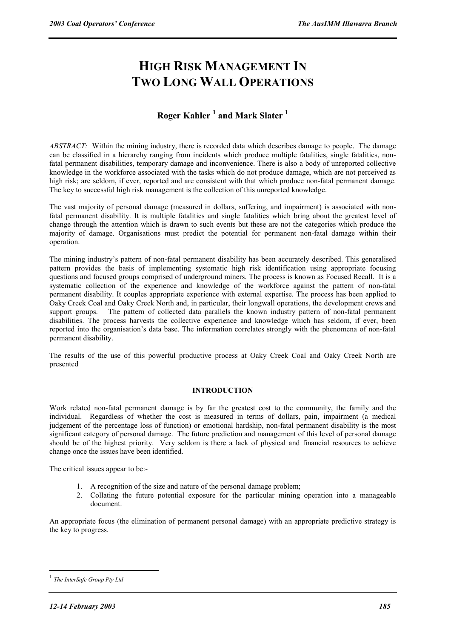# **HIGH RISK MANAGEMENT IN TWO LONG WALL OPERATIONS**

# **Roger Kahler <sup>1</sup> and Mark Slater 1**

*ABSTRACT:*Within the mining industry, there is recorded data which describes damage to people. The damage can be classified in a hierarchy ranging from incidents which produce multiple fatalities, single fatalities, nonfatal permanent disabilities, temporary damage and inconvenience. There is also a body of unreported collective knowledge in the workforce associated with the tasks which do not produce damage, which are not perceived as high risk; are seldom, if ever, reported and are consistent with that which produce non-fatal permanent damage. The key to successful high risk management is the collection of this unreported knowledge.

The vast majority of personal damage (measured in dollars, suffering, and impairment) is associated with nonfatal permanent disability. It is multiple fatalities and single fatalities which bring about the greatest level of change through the attention which is drawn to such events but these are not the categories which produce the majority of damage. Organisations must predict the potential for permanent non-fatal damage within their operation.

The mining industry's pattern of non-fatal permanent disability has been accurately described. This generalised pattern provides the basis of implementing systematic high risk identification using appropriate focusing questions and focused groups comprised of underground miners. The process is known as Focused Recall. It is a systematic collection of the experience and knowledge of the workforce against the pattern of non-fatal permanent disability. It couples appropriate experience with external expertise. The process has been applied to Oaky Creek Coal and Oaky Creek North and, in particular, their longwall operations, the development crews and support groups. The pattern of collected data parallels the known industry pattern of non-fatal permanent disabilities. The process harvests the collective experience and knowledge which has seldom, if ever, been reported into the organisation's data base. The information correlates strongly with the phenomena of non-fatal permanent disability.

The results of the use of this powerful productive process at Oaky Creek Coal and Oaky Creek North are presented

# **INTRODUCTION**

Work related non-fatal permanent damage is by far the greatest cost to the community, the family and the individual. Regardless of whether the cost is measured in terms of dollars, pain, impairment (a medical judgement of the percentage loss of function) or emotional hardship, non-fatal permanent disability is the most significant category of personal damage. The future prediction and management of this level of personal damage should be of the highest priority. Very seldom is there a lack of physical and financial resources to achieve change once the issues have been identified.

The critical issues appear to be:-

- 1. A recognition of the size and nature of the personal damage problem;
- 2. Collating the future potential exposure for the particular mining operation into a manageable document.

An appropriate focus (the elimination of permanent personal damage) with an appropriate predictive strategy is the key to progress.

 $\overline{a}$ 

<sup>1</sup> *The InterSafe Group Pty Ltd*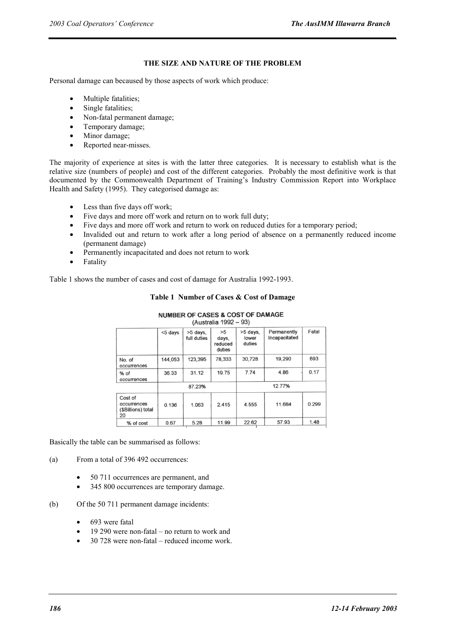# **THE SIZE AND NATURE OF THE PROBLEM**

Personal damage can becaused by those aspects of work which produce:

- Multiple fatalities;
- Single fatalities;
- Non-fatal permanent damage;
- Temporary damage;
- Minor damage;
- Reported near-misses.

The majority of experience at sites is with the latter three categories. It is necessary to establish what is the relative size (numbers of people) and cost of the different categories. Probably the most definitive work is that documented by the Commonwealth Department of Training's Industry Commission Report into Workplace Health and Safety (1995). They categorised damage as:

- Less than five days off work;
- Five days and more off work and return on to work full duty;
- Five days and more off work and return to work on reduced duties for a temporary period;
- Invalided out and return to work after a long period of absence on a permanently reduced income (permanent damage)
- Permanently incapacitated and does not return to work
- **Fatality**

Table 1 shows the number of cases and cost of damage for Australia 1992-1993.

# **Table 1 Number of Cases & Cost of Damage**

| (Australia 1992 – 93)                              |         |                         |                                  |                             |                              |       |
|----------------------------------------------------|---------|-------------------------|----------------------------------|-----------------------------|------------------------------|-------|
|                                                    | <5 days | >5 days,<br>full duties | >5<br>days,<br>reduced<br>duties | >5 days,<br>lower<br>duties | Permanently<br>Incapacitated | Fatal |
| No. of<br>occurrences                              | 144,053 | 123,395                 | 78,333                           | 30,728                      | 19,290                       | 693   |
| % of<br>occurrences                                | 36.33   | 31.12                   | 19.75                            | 7.74                        | 4.86                         | 0.17  |
|                                                    | 87.23%  |                         | 12.77%                           |                             |                              |       |
| Cost of<br>occurrences<br>(\$Billions) total<br>20 | 0.136   | 1.063                   | 2.415                            | 4.555                       | 11.684                       | 0.299 |
| % of cost                                          | 0.67    | 5.28                    | 11.99                            | 22.62                       | 57.93                        | 1.48  |

# **NUMBER OF CASES & COST OF DAMAGE**

Basically the table can be summarised as follows:

- (a) From a total of 396 492 occurrences:
	- 50 711 occurrences are permanent, and
	- 345 800 occurrences are temporary damage.
- (b) Of the 50 711 permanent damage incidents:
	- 693 were fatal
	- 19 290 were non-fatal no return to work and
	- 30 728 were non-fatal reduced income work.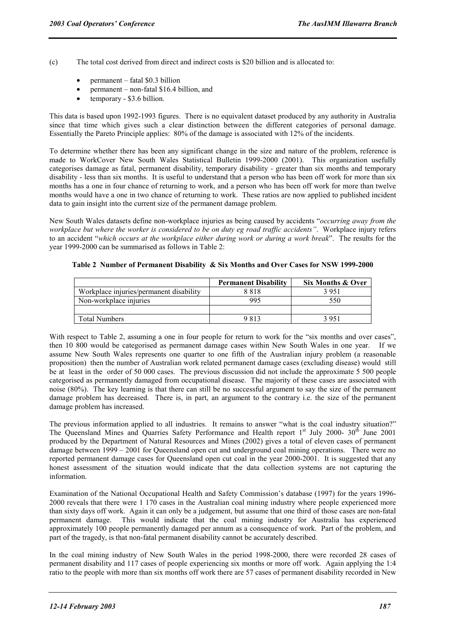- (c) The total cost derived from direct and indirect costs is \$20 billion and is allocated to:
	- permanent fatal \$0.3 billion
	- permanent non-fatal \$16.4 billion, and
	- temporary \$3.6 billion.

This data is based upon 1992-1993 figures. There is no equivalent dataset produced by any authority in Australia since that time which gives such a clear distinction between the different categories of personal damage. Essentially the Pareto Principle applies: 80% of the damage is associated with 12% of the incidents.

To determine whether there has been any significant change in the size and nature of the problem, reference is made to WorkCover New South Wales Statistical Bulletin 1999-2000 (2001). This organization usefully categorises damage as fatal, permanent disability, temporary disability - greater than six months and temporary disability - less than six months. It is useful to understand that a person who has been off work for more than six months has a one in four chance of returning to work, and a person who has been off work for more than twelve months would have a one in two chance of returning to work. These ratios are now applied to published incident data to gain insight into the current size of the permanent damage problem.

New South Wales datasets define non-workplace injuries as being caused by accidents "*occurring away from the workplace but where the worker is considered to be on duty eg road traffic accidents"*. Workplace injury refers to an accident "*which occurs at the workplace either during work or during a work break*". The results for the year 1999-2000 can be summarised as follows in Table 2:

|                                         | <b>Permanent Disability</b> | Six Months & Over |
|-----------------------------------------|-----------------------------|-------------------|
| Workplace injuries/permanent disability | 8818                        | 3951              |
| Non-workplace injuries                  | 995                         | 550               |
|                                         |                             |                   |
| <b>Total Numbers</b>                    | 9813                        | 3 951             |

### **Table 2 Number of Permanent Disability & Six Months and Over Cases for NSW 1999-2000**

With respect to Table 2, assuming a one in four people for return to work for the "six months and over cases", then 10 800 would be categorised as permanent damage cases within New South Wales in one year. If we assume New South Wales represents one quarter to one fifth of the Australian injury problem (a reasonable proposition) then the number of Australian work related permanent damage cases (excluding disease) would still be at least in the order of 50 000 cases. The previous discussion did not include the approximate 5 500 people categorised as permanently damaged from occupational disease. The majority of these cases are associated with noise (80%). The key learning is that there can still be no successful argument to say the size of the permanent damage problem has decreased. There is, in part, an argument to the contrary i.e. the size of the permanent damage problem has increased.

The previous information applied to all industries. It remains to answer "what is the coal industry situation?" The Queensland Mines and Quarries Safety Performance and Health report  $1<sup>st</sup>$  July 2000- 30<sup>th</sup> June 2001 produced by the Department of Natural Resources and Mines (2002) gives a total of eleven cases of permanent damage between 1999 – 2001 for Queensland open cut and underground coal mining operations. There were no reported permanent damage cases for Queensland open cut coal in the year 2000-2001. It is suggested that any honest assessment of the situation would indicate that the data collection systems are not capturing the information.

Examination of the National Occupational Health and Safety Commission's database (1997) for the years 1996- 2000 reveals that there were 1 170 cases in the Australian coal mining industry where people experienced more than sixty days off work. Again it can only be a judgement, but assume that one third of those cases are non-fatal permanent damage. This would indicate that the coal mining industry for Australia has experienced approximately 100 people permanently damaged per annum as a consequence of work. Part of the problem, and part of the tragedy, is that non-fatal permanent disability cannot be accurately described.

In the coal mining industry of New South Wales in the period 1998-2000, there were recorded 28 cases of permanent disability and 117 cases of people experiencing six months or more off work. Again applying the 1:4 ratio to the people with more than six months off work there are 57 cases of permanent disability recorded in New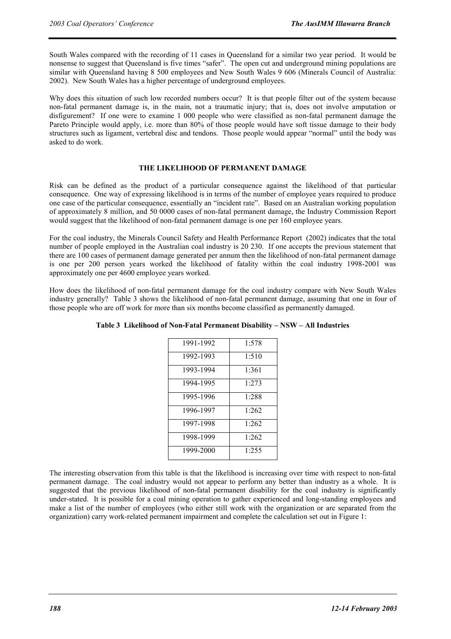South Wales compared with the recording of 11 cases in Queensland for a similar two year period. It would be nonsense to suggest that Queensland is five times "safer". The open cut and underground mining populations are similar with Queensland having 8 500 employees and New South Wales 9 606 (Minerals Council of Australia: 2002). New South Wales has a higher percentage of underground employees.

Why does this situation of such low recorded numbers occur? It is that people filter out of the system because non-fatal permanent damage is, in the main, not a traumatic injury; that is, does not involve amputation or disfigurement? If one were to examine 1 000 people who were classified as non-fatal permanent damage the Pareto Principle would apply, i.e. more than 80% of those people would have soft tissue damage to their body structures such as ligament, vertebral disc and tendons. Those people would appear "normal" until the body was asked to do work.

### **THE LIKELIHOOD OF PERMANENT DAMAGE**

Risk can be defined as the product of a particular consequence against the likelihood of that particular consequence. One way of expressing likelihood is in terms of the number of employee years required to produce one case of the particular consequence, essentially an "incident rate". Based on an Australian working population of approximately 8 million, and 50 0000 cases of non-fatal permanent damage, the Industry Commission Report would suggest that the likelihood of non-fatal permanent damage is one per 160 employee years.

For the coal industry, the Minerals Council Safety and Health Performance Report (2002) indicates that the total number of people employed in the Australian coal industry is 20 230. If one accepts the previous statement that there are 100 cases of permanent damage generated per annum then the likelihood of non-fatal permanent damage is one per 200 person years worked the likelihood of fatality within the coal industry 1998-2001 was approximately one per 4600 employee years worked.

How does the likelihood of non-fatal permanent damage for the coal industry compare with New South Wales industry generally? Table 3 shows the likelihood of non-fatal permanent damage, assuming that one in four of those people who are off work for more than six months become classified as permanently damaged.

| 1991-1992 | 1:578 |
|-----------|-------|
| 1992-1993 | 1:510 |
| 1993-1994 | 1:361 |
| 1994-1995 | 1:273 |
| 1995-1996 | 1:288 |
| 1996-1997 | 1:262 |
| 1997-1998 | 1.262 |
| 1998-1999 | 1:262 |
| 1999-2000 | 1:255 |
|           |       |

**Table 3 Likelihood of Non-Fatal Permanent Disability – NSW – All Industries** 

The interesting observation from this table is that the likelihood is increasing over time with respect to non-fatal permanent damage. The coal industry would not appear to perform any better than industry as a whole. It is suggested that the previous likelihood of non-fatal permanent disability for the coal industry is significantly under-stated. It is possible for a coal mining operation to gather experienced and long-standing employees and make a list of the number of employees (who either still work with the organization or are separated from the organization) carry work-related permanent impairment and complete the calculation set out in Figure 1: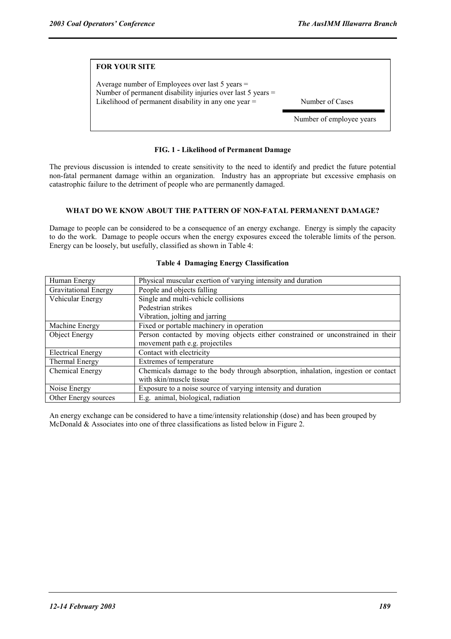| <b>FOR YOUR SITE</b>                                                                                                                                                       |                          |
|----------------------------------------------------------------------------------------------------------------------------------------------------------------------------|--------------------------|
| Average number of Employees over last 5 years $=$<br>Number of permanent disability injuries over last 5 years =<br>Likelihood of permanent disability in any one year $=$ | Number of Cases          |
|                                                                                                                                                                            | Number of employee years |

# **FIG. 1 - Likelihood of Permanent Damage**

The previous discussion is intended to create sensitivity to the need to identify and predict the future potential non-fatal permanent damage within an organization. Industry has an appropriate but excessive emphasis on catastrophic failure to the detriment of people who are permanently damaged.

### **WHAT DO WE KNOW ABOUT THE PATTERN OF NON-FATAL PERMANENT DAMAGE?**

Damage to people can be considered to be a consequence of an energy exchange. Energy is simply the capacity to do the work. Damage to people occurs when the energy exposures exceed the tolerable limits of the person. Energy can be loosely, but usefully, classified as shown in Table 4:

| Human Energy                | Physical muscular exertion of varying intensity and duration                      |
|-----------------------------|-----------------------------------------------------------------------------------|
| <b>Gravitational Energy</b> | People and objects falling                                                        |
| Vehicular Energy            | Single and multi-vehicle collisions                                               |
|                             | Pedestrian strikes                                                                |
|                             | Vibration, jolting and jarring                                                    |
| Machine Energy              | Fixed or portable machinery in operation                                          |
| Object Energy               | Person contacted by moving objects either constrained or unconstrained in their   |
|                             | movement path e.g. projectiles                                                    |
| Electrical Energy           | Contact with electricity                                                          |
| Thermal Energy              | Extremes of temperature                                                           |
| Chemical Energy             | Chemicals damage to the body through absorption, inhalation, ingestion or contact |
|                             | with skin/muscle tissue                                                           |
| Noise Energy                | Exposure to a noise source of varying intensity and duration                      |
| Other Energy sources        | E.g. animal, biological, radiation                                                |

### **Table 4 Damaging Energy Classification**

An energy exchange can be considered to have a time/intensity relationship (dose) and has been grouped by McDonald & Associates into one of three classifications as listed below in Figure 2.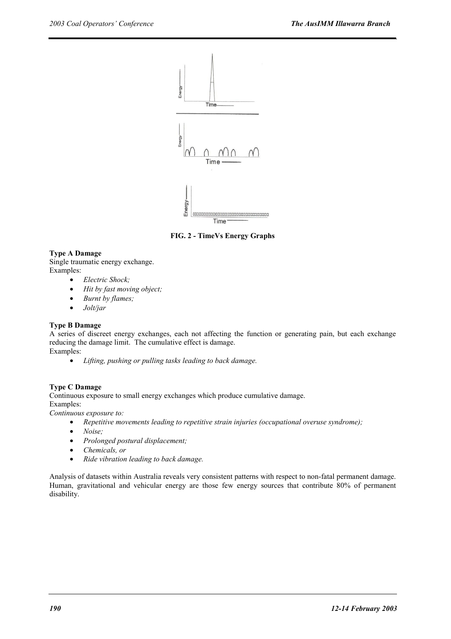

 **FIG. 2 - TimeVs Energy Graphs**

# **Type A Damage**

Single traumatic energy exchange. Examples:

- *Electric Shock;*
- *Hit by fast moving object;*
- *Burnt by flames;*
- *Jolt/jar*

# **Type B Damage**

A series of discreet energy exchanges, each not affecting the function or generating pain, but each exchange reducing the damage limit. The cumulative effect is damage. Examples:

• *Lifting, pushing or pulling tasks leading to back damage.*

# **Type C Damage**

Continuous exposure to small energy exchanges which produce cumulative damage.

Examples:

*Continuous exposure to:* 

- *Repetitive movements leading to repetitive strain injuries (occupational overuse syndrome);*
- *Noise;*
- *Prolonged postural displacement;*
- *Chemicals, or*
- *Ride vibration leading to back damage.*

Analysis of datasets within Australia reveals very consistent patterns with respect to non-fatal permanent damage. Human, gravitational and vehicular energy are those few energy sources that contribute 80% of permanent disability.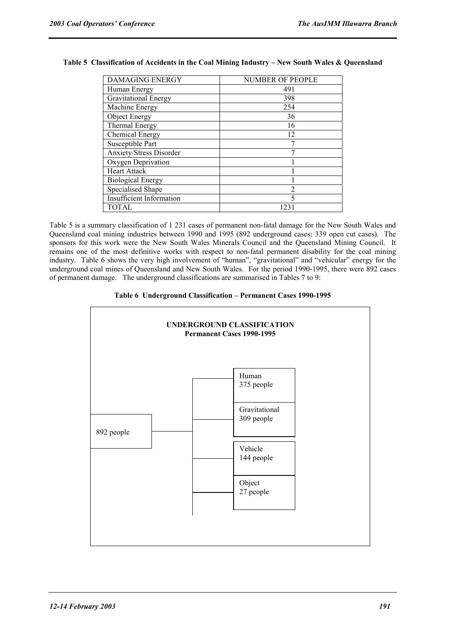| <b>DAMAGING ENERGY</b>          | <b>NUMBER OF PEOPLE</b> |
|---------------------------------|-------------------------|
| Human Energy                    | 491                     |
| <b>Gravitational Energy</b>     | 398                     |
| Machine Energy                  | 254                     |
| Object Energy                   | 36                      |
| <b>Thermal Energy</b>           | 16                      |
| Chemical Energy                 | 12                      |
| Susceptible Part                |                         |
| Anxiety/Stress Disorder         |                         |
| Oxygen Deprivation              |                         |
| <b>Heart Attack</b>             |                         |
| <b>Biological Energy</b>        |                         |
| Specialised Shape               | 2                       |
| <b>Insufficient Information</b> | 5                       |
| <b>TOTAL</b>                    | 123.                    |

# **Table 5 Classification of Accidents in the Coal Mining Industry – New South Wales & Queensland**

Table 5 is a summary classification of 1 231 cases of permanent non-fatal damage for the New South Wales and Queensland coal mining industries between 1990 and 1995 (892 underground cases; 339 open cut cases). The sponsors for this work were the New South Wales Minerals Council and the Queensland Mining Council. It remains one of the most definitive works with respect to non-fatal permanent disability for the coal mining industry. Table 6 shows the very high involvement of "human", "gravitational" and "vehicular" energy for the underground coal mines of Queensland and New South Wales. For the period 1990-1995, there were 892 cases of permanent damage. The underground classifications are summarised in Tables 7 to 9:

### **Table 6 Underground Classification – Permanent Cases 1990-1995**

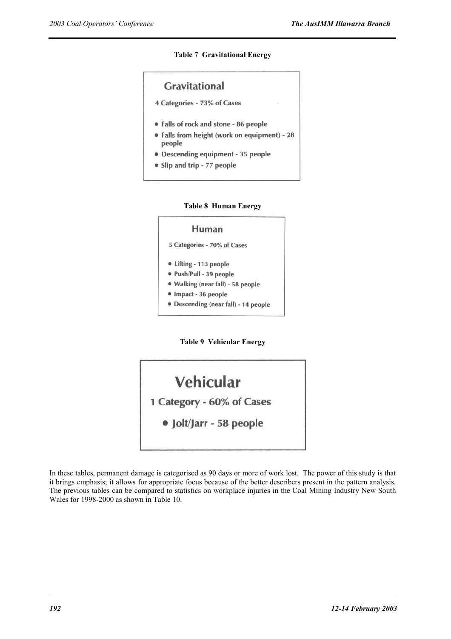**Table 7 Gravitational Energy** 

![](_page_8_Figure_3.jpeg)

![](_page_8_Figure_4.jpeg)

![](_page_8_Figure_5.jpeg)

**Table 9 Vehicular Energy** 

![](_page_8_Figure_7.jpeg)

In these tables, permanent damage is categorised as 90 days or more of work lost. The power of this study is that it brings emphasis; it allows for appropriate focus because of the better describers present in the pattern analysis. The previous tables can be compared to statistics on workplace injuries in the Coal Mining Industry New South Wales for 1998-2000 as shown in Table 10.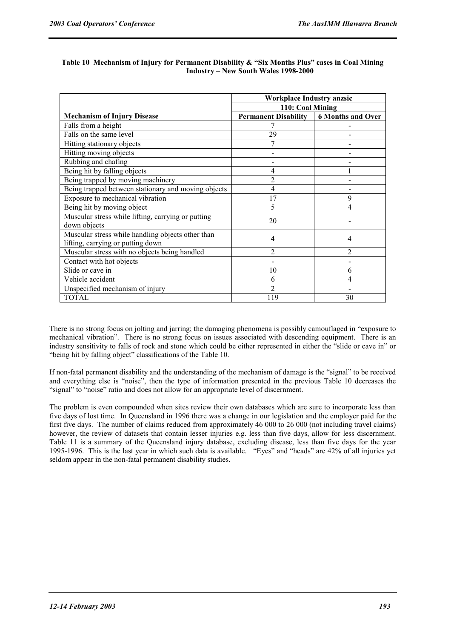|                                                                                        | <b>Workplace Industry anzsic</b>         |                |
|----------------------------------------------------------------------------------------|------------------------------------------|----------------|
|                                                                                        | 110: Coal Mining                         |                |
| <b>Mechanism of Injury Disease</b>                                                     | Permanent Disability   6 Months and Over |                |
| Falls from a height                                                                    |                                          |                |
| Falls on the same level                                                                | 29                                       |                |
| Hitting stationary objects                                                             |                                          |                |
| Hitting moving objects                                                                 |                                          |                |
| Rubbing and chafing                                                                    |                                          |                |
| Being hit by falling objects                                                           | 4                                        |                |
| Being trapped by moving machinery                                                      | $\overline{2}$                           |                |
| Being trapped between stationary and moving objects                                    | $\overline{4}$                           |                |
| Exposure to mechanical vibration                                                       | 17                                       | 9              |
| Being hit by moving object                                                             | 5                                        | 4              |
| Muscular stress while lifting, carrying or putting<br>down objects                     | 20                                       |                |
| Muscular stress while handling objects other than<br>lifting, carrying or putting down | $\overline{4}$                           | 4              |
| Muscular stress with no objects being handled                                          | $\overline{2}$                           | $\overline{2}$ |
| Contact with hot objects                                                               |                                          |                |
| Slide or cave in                                                                       | 10                                       | 6              |
| Vehicle accident                                                                       | 6                                        | 4              |
| Unspecified mechanism of injury                                                        | $\overline{2}$                           |                |
| <b>TOTAL</b>                                                                           | 119                                      | 30             |

# **Table 10 Mechanism of Injury for Permanent Disability & "Six Months Plus" cases in Coal Mining Industry – New South Wales 1998-2000**

There is no strong focus on jolting and jarring; the damaging phenomena is possibly camouflaged in "exposure to mechanical vibration". There is no strong focus on issues associated with descending equipment. There is an industry sensitivity to falls of rock and stone which could be either represented in either the "slide or cave in" or "being hit by falling object" classifications of the Table 10.

If non-fatal permanent disability and the understanding of the mechanism of damage is the "signal" to be received and everything else is "noise", then the type of information presented in the previous Table 10 decreases the "signal" to "noise" ratio and does not allow for an appropriate level of discernment.

The problem is even compounded when sites review their own databases which are sure to incorporate less than five days of lost time. In Queensland in 1996 there was a change in our legislation and the employer paid for the first five days. The number of claims reduced from approximately 46 000 to 26 000 (not including travel claims) however, the review of datasets that contain lesser injuries e.g. less than five days, allow for less discernment. Table 11 is a summary of the Queensland injury database, excluding disease, less than five days for the year 1995-1996. This is the last year in which such data is available. "Eyes" and "heads" are 42% of all injuries yet seldom appear in the non-fatal permanent disability studies.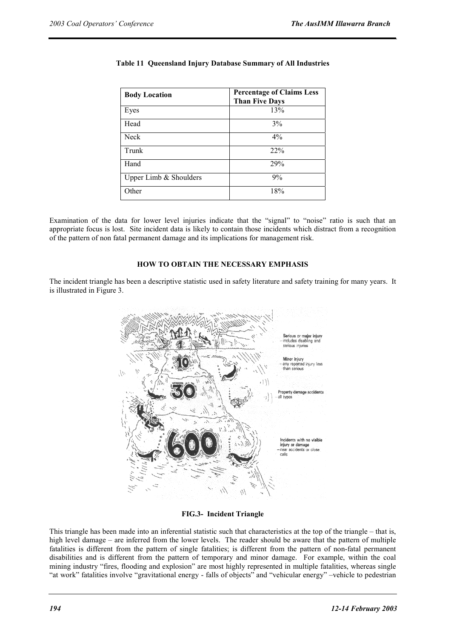| <b>Body Location</b>   | <b>Percentage of Claims Less</b><br><b>Than Five Days</b> |
|------------------------|-----------------------------------------------------------|
| Eyes                   | 13%                                                       |
| Head                   | 3%                                                        |
| <b>Neck</b>            | $4\%$                                                     |
| Trunk                  | 22%                                                       |
| Hand                   | 29%                                                       |
| Upper Limb & Shoulders | 9%                                                        |
| Other                  | 18%                                                       |

# **Table 11 Queensland Injury Database Summary of All Industries**

Examination of the data for lower level injuries indicate that the "signal" to "noise" ratio is such that an appropriate focus is lost. Site incident data is likely to contain those incidents which distract from a recognition of the pattern of non fatal permanent damage and its implications for management risk.

# **HOW TO OBTAIN THE NECESSARY EMPHASIS**

The incident triangle has been a descriptive statistic used in safety literature and safety training for many years. It is illustrated in Figure 3.

![](_page_10_Picture_7.jpeg)

**FIG.3- Incident Triangle** 

This triangle has been made into an inferential statistic such that characteristics at the top of the triangle – that is, high level damage – are inferred from the lower levels. The reader should be aware that the pattern of multiple fatalities is different from the pattern of single fatalities; is different from the pattern of non-fatal permanent disabilities and is different from the pattern of temporary and minor damage. For example, within the coal mining industry "fires, flooding and explosion" are most highly represented in multiple fatalities, whereas single "at work" fatalities involve "gravitational energy - falls of objects" and "vehicular energy" –vehicle to pedestrian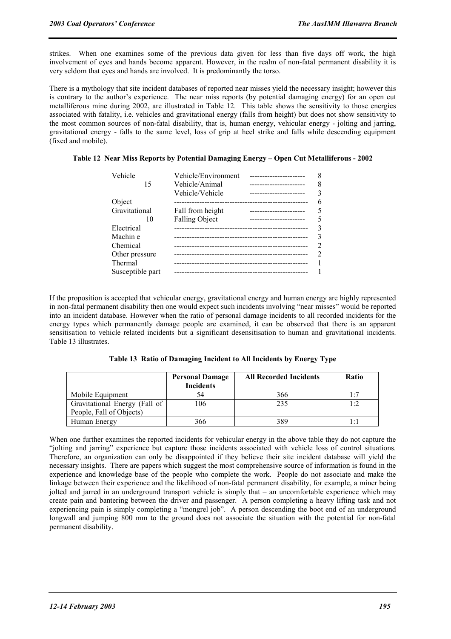strikes. When one examines some of the previous data given for less than five days off work, the high involvement of eyes and hands become apparent. However, in the realm of non-fatal permanent disability it is very seldom that eyes and hands are involved. It is predominantly the torso.

There is a mythology that site incident databases of reported near misses yield the necessary insight; however this is contrary to the author's experience. The near miss reports (by potential damaging energy) for an open cut metalliferous mine during 2002, are illustrated in Table 12. This table shows the sensitivity to those energies associated with fatality, i.e. vehicles and gravitational energy (falls from height) but does not show sensitivity to the most common sources of non-fatal disability, that is, human energy, vehicular energy - jolting and jarring, gravitational energy - falls to the same level, loss of grip at heel strike and falls while descending equipment (fixed and mobile).

# **Table 12 Near Miss Reports by Potential Damaging Energy – Open Cut Metalliferous - 2002**

| Vehicle          | Vehicle/Environment   |                         |   |
|------------------|-----------------------|-------------------------|---|
| 15               | Vehicle/Animal        | ----------------------  |   |
|                  | Vehicle/Vehicle       | ----------------------  |   |
| Object           |                       |                         | 6 |
| Gravitational    | Fall from height      | ----------------------  |   |
| 10               | <b>Falling Object</b> | ----------------------- |   |
| Electrical       |                       |                         |   |
| Machin e         |                       |                         |   |
| Chemical         |                       |                         |   |
| Other pressure   |                       |                         |   |
| Thermal          |                       |                         |   |
| Susceptible part |                       |                         |   |

If the proposition is accepted that vehicular energy, gravitational energy and human energy are highly represented in non-fatal permanent disability then one would expect such incidents involving "near misses" would be reported into an incident database. However when the ratio of personal damage incidents to all recorded incidents for the energy types which permanently damage people are examined, it can be observed that there is an apparent sensitisation to vehicle related incidents but a significant desensitisation to human and gravitational incidents. Table 13 illustrates.

**Table 13 Ratio of Damaging Incident to All Incidents by Energy Type** 

|                                                           | <b>Personal Damage</b><br><b>Incidents</b> | <b>All Recorded Incidents</b> | <b>Ratio</b> |
|-----------------------------------------------------------|--------------------------------------------|-------------------------------|--------------|
| Mobile Equipment                                          | 54                                         | 366                           | 1 $\cdot$ 7  |
| Gravitational Energy (Fall of<br>People, Fall of Objects) | 106                                        | 235                           | $1 \cdot 2$  |
| Human Energy                                              | 366                                        | 389                           |              |

When one further examines the reported incidents for vehicular energy in the above table they do not capture the "jolting and jarring" experience but capture those incidents associated with vehicle loss of control situations. Therefore, an organization can only be disappointed if they believe their site incident database will yield the necessary insights. There are papers which suggest the most comprehensive source of information is found in the experience and knowledge base of the people who complete the work. People do not associate and make the linkage between their experience and the likelihood of non-fatal permanent disability, for example, a miner being jolted and jarred in an underground transport vehicle is simply that – an uncomfortable experience which may create pain and bantering between the driver and passenger. A person completing a heavy lifting task and not experiencing pain is simply completing a "mongrel job". A person descending the boot end of an underground longwall and jumping 800 mm to the ground does not associate the situation with the potential for non-fatal permanent disability.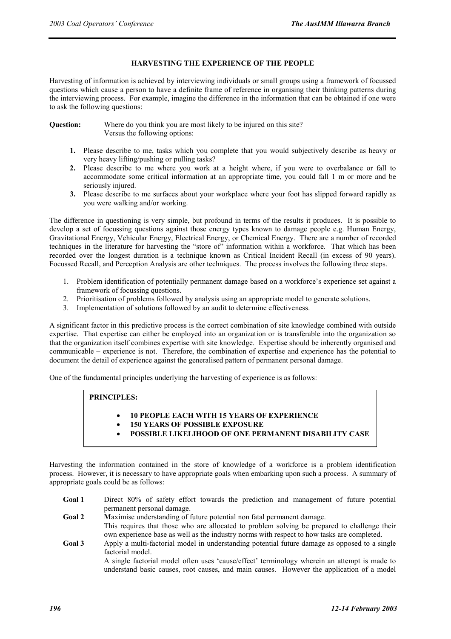# **HARVESTING THE EXPERIENCE OF THE PEOPLE**

Harvesting of information is achieved by interviewing individuals or small groups using a framework of focussed questions which cause a person to have a definite frame of reference in organising their thinking patterns during the interviewing process. For example, imagine the difference in the information that can be obtained if one were to ask the following questions:

**Question:** Where do you think you are most likely to be injured on this site? Versus the following options:

- **1.** Please describe to me, tasks which you complete that you would subjectively describe as heavy or very heavy lifting/pushing or pulling tasks?
- **2.** Please describe to me where you work at a height where, if you were to overbalance or fall to accommodate some critical information at an appropriate time, you could fall 1 m or more and be seriously injured.
- **3.** Please describe to me surfaces about your workplace where your foot has slipped forward rapidly as you were walking and/or working.

The difference in questioning is very simple, but profound in terms of the results it produces. It is possible to develop a set of focussing questions against those energy types known to damage people e.g. Human Energy, Gravitational Energy, Vehicular Energy, Electrical Energy, or Chemical Energy. There are a number of recorded techniques in the literature for harvesting the "store of" information within a workforce. That which has been recorded over the longest duration is a technique known as Critical Incident Recall (in excess of 90 years). Focussed Recall, and Perception Analysis are other techniques. The process involves the following three steps.

- 1. Problem identification of potentially permanent damage based on a workforce's experience set against a framework of focussing questions.
- 2. Prioritisation of problems followed by analysis using an appropriate model to generate solutions.
- 3. Implementation of solutions followed by an audit to determine effectiveness.

A significant factor in this predictive process is the correct combination of site knowledge combined with outside expertise. That expertise can either be employed into an organization or is transferable into the organization so that the organization itself combines expertise with site knowledge. Expertise should be inherently organised and communicable – experience is not. Therefore, the combination of expertise and experience has the potential to document the detail of experience against the generalised pattern of permanent personal damage.

One of the fundamental principles underlying the harvesting of experience is as follows:

# **PRINCIPLES:**

- **10 PEOPLE EACH WITH 15 YEARS OF EXPERIENCE**
- **150 YEARS OF POSSIBLE EXPOSURE**
- **POSSIBLE LIKELIHOOD OF ONE PERMANENT DISABILITY CASE**

Harvesting the information contained in the store of knowledge of a workforce is a problem identification process. However, it is necessary to have appropriate goals when embarking upon such a process. A summary of appropriate goals could be as follows:

- Goal 1 Direct 80% of safety effort towards the prediction and management of future potential permanent personal damage.
- **Goal 2 M**aximise understanding of future potential non fatal permanent damage. This requires that those who are allocated to problem solving be prepared to challenge their own experience base as well as the industry norms with respect to how tasks are completed.
- **Goal 3** Apply a multi-factorial model in understanding potential future damage as opposed to a single factorial model.

A single factorial model often uses 'cause/effect' terminology wherein an attempt is made to understand basic causes, root causes, and main causes. However the application of a model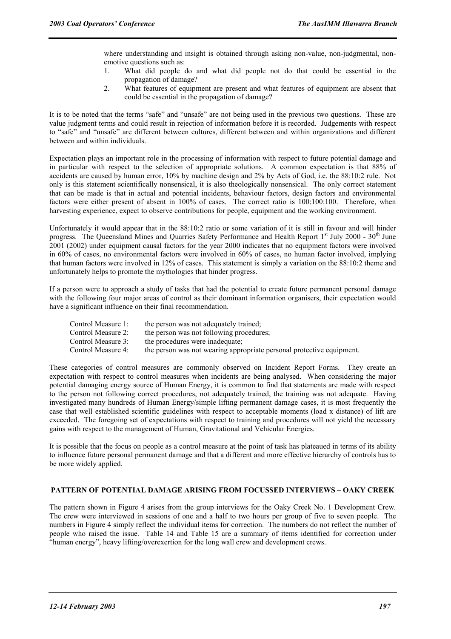where understanding and insight is obtained through asking non-value, non-judgmental, nonemotive questions such as:

- 1. What did people do and what did people not do that could be essential in the propagation of damage?
- 2. What features of equipment are present and what features of equipment are absent that could be essential in the propagation of damage?

It is to be noted that the terms "safe" and "unsafe" are not being used in the previous two questions. These are value judgment terms and could result in rejection of information before it is recorded. Judgements with respect to "safe" and "unsafe" are different between cultures, different between and within organizations and different between and within individuals.

Expectation plays an important role in the processing of information with respect to future potential damage and in particular with respect to the selection of appropriate solutions. A common expectation is that 88% of accidents are caused by human error, 10% by machine design and 2% by Acts of God, i.e. the 88:10:2 rule. Not only is this statement scientifically nonsensical, it is also theologically nonsensical. The only correct statement that can be made is that in actual and potential incidents, behaviour factors, design factors and environmental factors were either present of absent in 100% of cases. The correct ratio is 100:100:100. Therefore, when harvesting experience, expect to observe contributions for people, equipment and the working environment.

Unfortunately it would appear that in the 88:10:2 ratio or some variation of it is still in favour and will hinder progress. The Queensland Mines and Quarries Safety Performance and Health Report  $1<sup>st</sup>$  July 2000 - 30<sup>th</sup> June 2001 (2002) under equipment causal factors for the year 2000 indicates that no equipment factors were involved in 60% of cases, no environmental factors were involved in 60% of cases, no human factor involved, implying that human factors were involved in 12% of cases. This statement is simply a variation on the 88:10:2 theme and unfortunately helps to promote the mythologies that hinder progress.

If a person were to approach a study of tasks that had the potential to create future permanent personal damage with the following four major areas of control as their dominant information organisers, their expectation would have a significant influence on their final recommendation.

| Control Measure 1: | the person was not adequately trained;                                |
|--------------------|-----------------------------------------------------------------------|
| Control Measure 2: | the person was not following procedures;                              |
| Control Measure 3: | the procedures were inadequate;                                       |
| Control Measure 4: | the person was not wearing appropriate personal protective equipment. |

These categories of control measures are commonly observed on Incident Report Forms. They create an expectation with respect to control measures when incidents are being analysed. When considering the major potential damaging energy source of Human Energy, it is common to find that statements are made with respect to the person not following correct procedures, not adequately trained, the training was not adequate. Having investigated many hundreds of Human Energy/simple lifting permanent damage cases, it is most frequently the case that well established scientific guidelines with respect to acceptable moments (load x distance) of lift are exceeded. The foregoing set of expectations with respect to training and procedures will not yield the necessary gains with respect to the management of Human, Gravitational and Vehicular Energies.

It is possible that the focus on people as a control measure at the point of task has plateaued in terms of its ability to influence future personal permanent damage and that a different and more effective hierarchy of controls has to be more widely applied.

### **PATTERN OF POTENTIAL DAMAGE ARISING FROM FOCUSSED INTERVIEWS – OAKY CREEK**

The pattern shown in Figure 4 arises from the group interviews for the Oaky Creek No. 1 Development Crew. The crew were interviewed in sessions of one and a half to two hours per group of five to seven people. The numbers in Figure 4 simply reflect the individual items for correction. The numbers do not reflect the number of people who raised the issue. Table 14 and Table 15 are a summary of items identified for correction under "human energy", heavy lifting/overexertion for the long wall crew and development crews.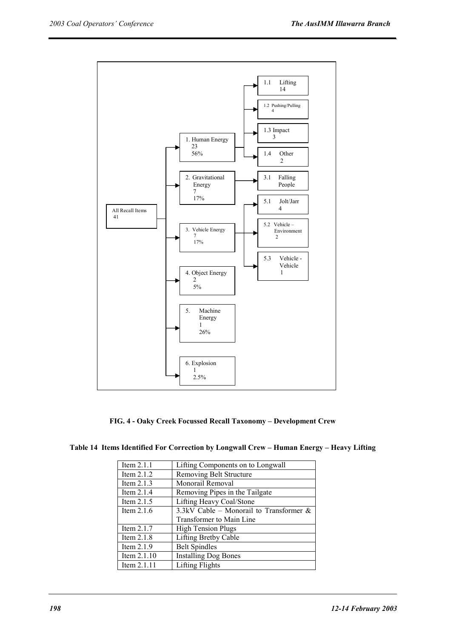![](_page_14_Figure_2.jpeg)

**FIG. 4 - Oaky Creek Focussed Recall Taxonomy – Development Crew** 

| Item $2.1.1$  | Lifting Components on to Longwall          |
|---------------|--------------------------------------------|
| Item $2.1.2$  | Removing Belt Structure                    |
| Item $2.1.3$  | Monorail Removal                           |
| Item $2.1.4$  | Removing Pipes in the Tailgate             |
| Item $2.1.5$  | Lifting Heavy Coal/Stone                   |
| Item $2.1.6$  | 3.3kV Cable – Monorail to Transformer $\&$ |
|               | Transformer to Main Line                   |
| Item $2.1.7$  | <b>High Tension Plugs</b>                  |
| Item 2.1.8    | Lifting Bretby Cable                       |
| Item $2.1.9$  | <b>Belt Spindles</b>                       |
| Item $2.1.10$ | <b>Installing Dog Bones</b>                |
| Item $2.1.11$ | Lifting Flights                            |

**Table 14 Items Identified For Correction by Longwall Crew – Human Energy – Heavy Lifting**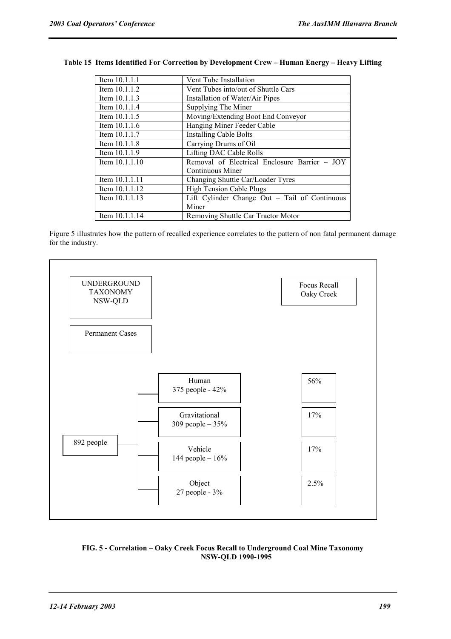| Item 10.1.1.1    | Vent Tube Installation                          |  |  |
|------------------|-------------------------------------------------|--|--|
| Item $10.1.1.2$  | Vent Tubes into/out of Shuttle Cars             |  |  |
| Item $10.1.1.3$  | Installation of Water/Air Pipes                 |  |  |
| Item $10.1.1.4$  | Supplying The Miner                             |  |  |
| Item $10.1.1.5$  | Moving/Extending Boot End Conveyor              |  |  |
| Item 10.1.1.6    | Hanging Miner Feeder Cable                      |  |  |
| Item 10.1.1.7    | <b>Installing Cable Bolts</b>                   |  |  |
| Item $10.1.1.8$  | Carrying Drums of Oil                           |  |  |
| Item $10.1.1.9$  | Lifting DAC Cable Rolls                         |  |  |
| Item $10.1.1.10$ | Removal of Electrical Enclosure Barrier - JOY   |  |  |
|                  | Continuous Miner                                |  |  |
| Item 10.1.1.11   | Changing Shuttle Car/Loader Tyres               |  |  |
| Item $10.1.1.12$ | <b>High Tension Cable Plugs</b>                 |  |  |
| Item $10.1.1.13$ | Lift Cylinder Change Out $-$ Tail of Continuous |  |  |
|                  | Miner                                           |  |  |
| Item 10.1.1.14   | Removing Shuttle Car Tractor Motor              |  |  |

# **Table 15 Items Identified For Correction by Development Crew – Human Energy – Heavy Lifting**

Figure 5 illustrates how the pattern of recalled experience correlates to the pattern of non fatal permanent damage for the industry.

![](_page_15_Figure_5.jpeg)

# **FIG. 5 - Correlation – Oaky Creek Focus Recall to Underground Coal Mine Taxonomy NSW-QLD 1990-1995**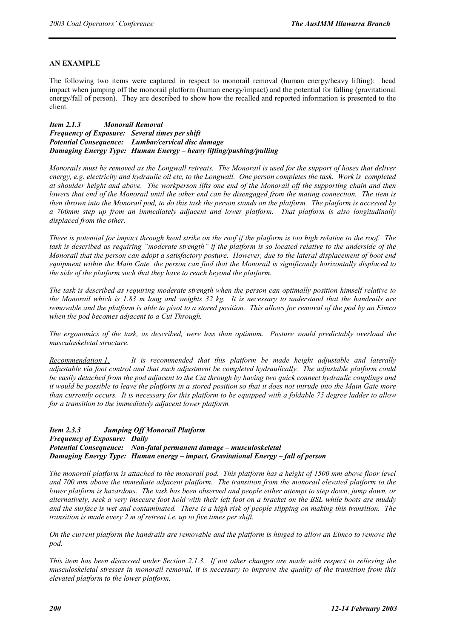# **AN EXAMPLE**

The following two items were captured in respect to monorail removal (human energy/heavy lifting): head impact when jumping off the monorail platform (human energy/impact) and the potential for falling (gravitational energy/fall of person). They are described to show how the recalled and reported information is presented to the client.

*Item 2.1.3 Monorail Removal Frequency of Exposure: Several times per shift Potential Consequence: Lumbar/cervical disc damage Damaging Energy Type: Human Energy – heavy lifting/pushing/pulling* 

*Monorails must be removed as the Longwall retreats. The Monorail is used for the support of hoses that deliver energy, e.g. electricity and hydraulic oil etc, to the Longwall. One person completes the task. Work is completed at shoulder height and above. The workperson lifts one end of the Monorail off the supporting chain and then lowers that end of the Monorail until the other end can be disengaged from the mating connection. The item is then thrown into the Monorail pod, to do this task the person stands on the platform. The platform is accessed by a 700mm step up from an immediately adjacent and lower platform. That platform is also longitudinally displaced from the other.* 

*There is potential for impact through head strike on the roof if the platform is too high relative to the roof. The*  task is described as requiring "moderate strength" if the platform is so located relative to the underside of the *Monorail that the person can adopt a satisfactory posture. However, due to the lateral displacement of boot end equipment within the Main Gate, the person can find that the Monorail is significantly horizontally displaced to the side of the platform such that they have to reach beyond the platform.* 

*The task is described as requiring moderate strength when the person can optimally position himself relative to the Monorail which is 1.83 m long and weights 32 kg. It is necessary to understand that the handrails are removable and the platform is able to pivot to a stored position. This allows for removal of the pod by an Eimco when the pod becomes adjacent to a Cut Through.* 

*The ergonomics of the task, as described, were less than optimum. Posture would predictably overload the musculoskeletal structure.* 

*Recommendation 1. It is recommended that this platform be made height adjustable and laterally adjustable via foot control and that such adjustment be completed hydraulically. The adjustable platform could be easily detached from the pod adjacent to the Cut through by having two quick connect hydraulic couplings and it would be possible to leave the platform in a stored position so that it does not intrude into the Main Gate more than currently occurs. It is necessary for this platform to be equipped with a foldable 75 degree ladder to allow for a transition to the immediately adjacent lower platform.*

*Item 2.3.3 Jumping Off Monorail Platform Frequency of Exposure: Daily Potential Consequence: Non-fatal permanent damage – musculoskeletal Damaging Energy Type: Human energy – impact, Gravitational Energy – fall of person* 

*The monorail platform is attached to the monorail pod. This platform has a height of 1500 mm above floor level and 700 mm above the immediate adjacent platform. The transition from the monorail elevated platform to the lower platform is hazardous. The task has been observed and people either attempt to step down, jump down, or alternatively, seek a very insecure foot hold with their left foot on a bracket on the BSL while boots are muddy and the surface is wet and contaminated. There is a high risk of people slipping on making this transition. The transition is made every 2 m of retreat i.e. up to five times per shift.* 

*On the current platform the handrails are removable and the platform is hinged to allow an Eimco to remove the pod.* 

*This item has been discussed under Section 2.1.3. If not other changes are made with respect to relieving the musculoskeletal stresses in monorail removal, it is necessary to improve the quality of the transition from this elevated platform to the lower platform.*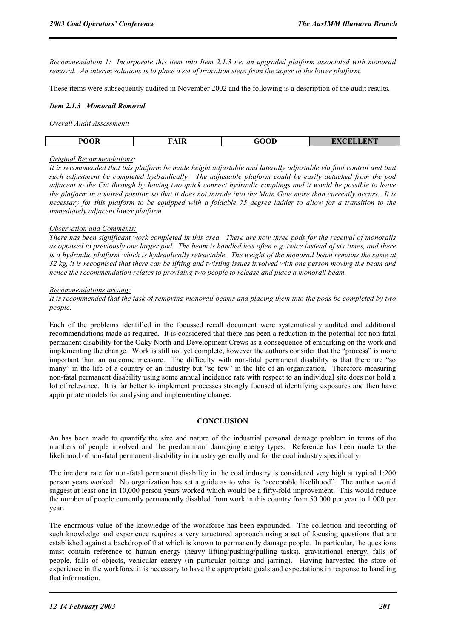*Recommendation 1: Incorporate this item into Item 2.1.3 i.e. an upgraded platform associated with monorail removal. An interim solutions is to place a set of transition steps from the upper to the lower platform.* 

These items were subsequently audited in November 2002 and the following is a description of the audit results.

#### *Item 2.1.3 Monorail Removal*

#### *Overall Audit Assessment:*

| <b>POOR</b> | FAIR | ി∩∩<br>.uu | T<br>$\sqrt{2}$<br><b>PERMIT AND IN THE UPPER</b> |
|-------------|------|------------|---------------------------------------------------|

#### *Original Recommendations:*

*It is recommended that this platform be made height adjustable and laterally adjustable via foot control and that such adjustment be completed hydraulically. The adjustable platform could be easily detached from the pod adjacent to the Cut through by having two quick connect hydraulic couplings and it would be possible to leave the platform in a stored position so that it does not intrude into the Main Gate more than currently occurs. It is necessary for this platform to be equipped with a foldable 75 degree ladder to allow for a transition to the immediately adjacent lower platform.*

#### *Observation and Comments:*

*There has been significant work completed in this area. There are now three pods for the receival of monorails as opposed to previously one larger pod. The beam is handled less often e.g. twice instead of six times, and there*  is a hydraulic platform which is hydraulically retractable. The weight of the monorail beam remains the same at *32 kg, it is recognised that there can be lifting and twisting issues involved with one person moving the beam and hence the recommendation relates to providing two people to release and place a monorail beam.* 

#### *Recommendations arising:*

*It is recommended that the task of removing monorail beams and placing them into the pods be completed by two people.* 

Each of the problems identified in the focussed recall document were systematically audited and additional recommendations made as required. It is considered that there has been a reduction in the potential for non-fatal permanent disability for the Oaky North and Development Crews as a consequence of embarking on the work and implementing the change. Work is still not yet complete, however the authors consider that the "process" is more important than an outcome measure. The difficulty with non-fatal permanent disability is that there are "so many" in the life of a country or an industry but "so few" in the life of an organization. Therefore measuring non-fatal permanent disability using some annual incidence rate with respect to an individual site does not hold a lot of relevance. It is far better to implement processes strongly focused at identifying exposures and then have appropriate models for analysing and implementing change.

# **CONCLUSION**

An has been made to quantify the size and nature of the industrial personal damage problem in terms of the numbers of people involved and the predominant damaging energy types. Reference has been made to the likelihood of non-fatal permanent disability in industry generally and for the coal industry specifically.

The incident rate for non-fatal permanent disability in the coal industry is considered very high at typical 1:200 person years worked. No organization has set a guide as to what is "acceptable likelihood". The author would suggest at least one in 10,000 person years worked which would be a fifty-fold improvement. This would reduce the number of people currently permanently disabled from work in this country from 50 000 per year to 1 000 per year.

The enormous value of the knowledge of the workforce has been expounded. The collection and recording of such knowledge and experience requires a very structured approach using a set of focusing questions that are established against a backdrop of that which is known to permanently damage people. In particular, the questions must contain reference to human energy (heavy lifting/pushing/pulling tasks), gravitational energy, falls of people, falls of objects, vehicular energy (in particular jolting and jarring). Having harvested the store of experience in the workforce it is necessary to have the appropriate goals and expectations in response to handling that information.